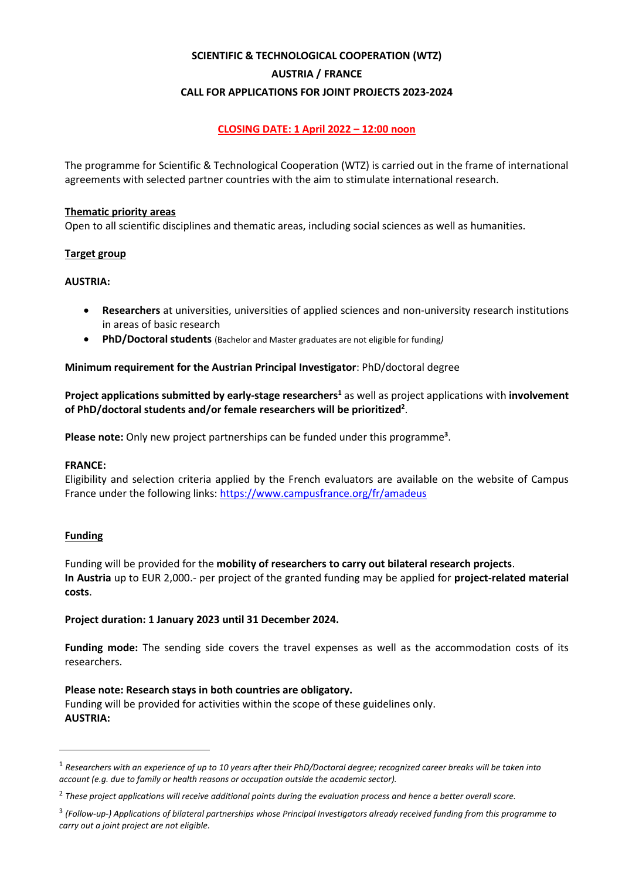# **SCIENTIFIC & TECHNOLOGICAL COOPERATION (WTZ) AUSTRIA / FRANCE CALL FOR APPLICATIONS FOR JOINT PROJECTS 2023-2024**

## **CLOSING DATE: 1 April 2022 – 12:00 noon**

The programme for Scientific & Technological Cooperation (WTZ) is carried out in the frame of international agreements with selected partner countries with the aim to stimulate international research.

## **Thematic priority areas**

Open to all scientific disciplines and thematic areas, including social sciences as well as humanities.

## **Target group**

## **AUSTRIA:**

- **Researchers** at universities, universities of applied sciences and non-university research institutions in areas of basic research
- **PhD/Doctoral students** (Bachelor and Master graduates are not eligible for funding*)*

## **Minimum requirement for the Austrian Principal Investigator**: PhD/doctoral degree

**Project applications submitted by early-stage researchers<sup>1</sup>** as well as project applications with **involvement of PhD/doctoral students and/or female researchers will be prioritized<sup>2</sup>** .

**Please note:** Only new project partnerships can be funded under this programme**<sup>3</sup>** .

## **FRANCE:**

Eligibility and selection criteria applied by the French evaluators are available on the website of Campus France under the following links[: https://www.campusfrance.org/fr/amadeus](https://www.campusfrance.org/fr/amadeus)

## **Funding**

Funding will be provided for the **mobility of researchers to carry out bilateral research projects**. **In Austria** up to EUR 2,000.- per project of the granted funding may be applied for **project-related material costs**.

## **Project duration: 1 January 2023 until 31 December 2024.**

**Funding mode:** The sending side covers the travel expenses as well as the accommodation costs of its researchers.

## **Please note: Research stays in both countries are obligatory.**

Funding will be provided for activities within the scope of these guidelines only. **AUSTRIA:** 

<sup>1</sup> *Researchers with an experience of up to 10 years after their PhD/Doctoral degree; recognized career breaks will be taken into account (e.g. due to family or health reasons or occupation outside the academic sector).*

<sup>2</sup> *These project applications will receive additional points during the evaluation process and hence a better overall score.*

<sup>3</sup> *(Follow-up-) Applications of bilateral partnerships whose Principal Investigators already received funding from this programme to carry out a joint project are not eligible.*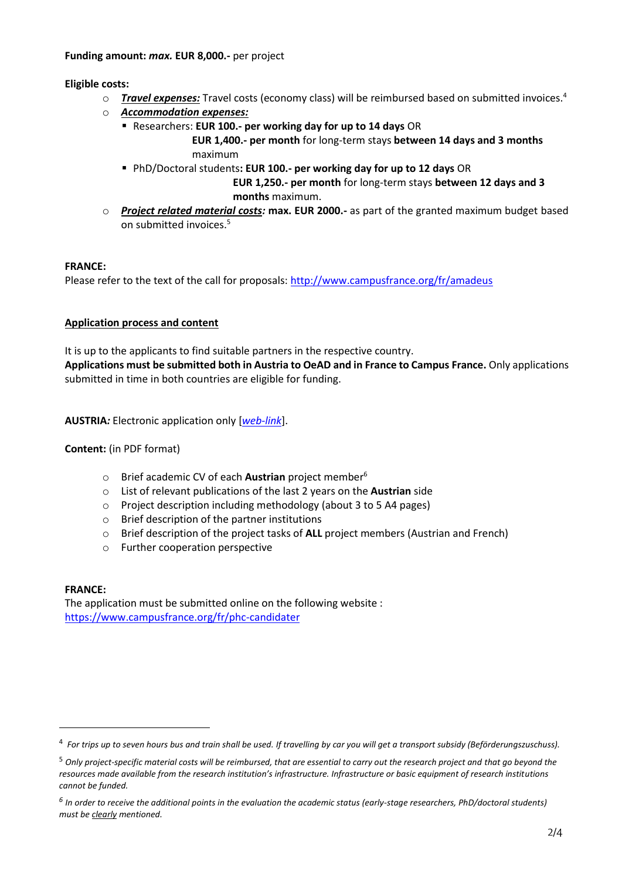## **Eligible costs:**

- o *Travel expenses:* Travel costs (economy class) will be reimbursed based on submitted invoices.<sup>4</sup>
- o *Accommodation expenses:*
	- Researchers: **EUR 100.- per working day for up to 14 days** OR

 **EUR 1,400.- per month** for long-term stays **between 14 days and 3 months** maximum

▪ PhD/Doctoral students**: EUR 100.- per working day for up to 12 days** OR

 **EUR 1,250.- per month** for long-term stays **between 12 days and 3 months** maximum.

o *Project related material costs:* **max. EUR 2000.-** as part of the granted maximum budget based on submitted invoices.<sup>5</sup>

## **FRANCE:**

Please refer to the text of the call for proposals:<http://www.campusfrance.org/fr/amadeus>

## **Application process and content**

It is up to the applicants to find suitable partners in the respective country. **Applications must be submitted both in Austria to OeAD and in France to Campus France.** Only applications submitted in time in both countries are eligible for funding.

**AUSTRIA***:* Electronic application only [*[web-link](https://asp.sop.co.at/oead/antrag?call=FR2023)*].

## **Content:** (in PDF format)

- o Brief academic CV of each **Austrian** project member<sup>6</sup>
- o List of relevant publications of the last 2 years on the **Austrian** side
- o Project description including methodology (about 3 to 5 A4 pages)
- o Brief description of the partner institutions
- o Brief description of the project tasks of **ALL** project members (Austrian and French)
- o Further cooperation perspective

## **FRANCE:**

The application must be submitted online on the following website : <https://www.campusfrance.org/fr/phc-candidater>

<sup>4</sup> *For trips up to seven hours bus and train shall be used. If travelling by car you will get a transport subsidy (Beförderungszuschuss).*

<sup>5</sup> *Only project-specific material costs will be reimbursed, that are essential to carry out the research project and that go beyond the resources made available from the research institution's infrastructure. Infrastructure or basic equipment of research institutions cannot be funded.*

*<sup>6</sup> In order to receive the additional points in the evaluation the academic status (early-stage researchers, PhD/doctoral students) must be clearly mentioned.*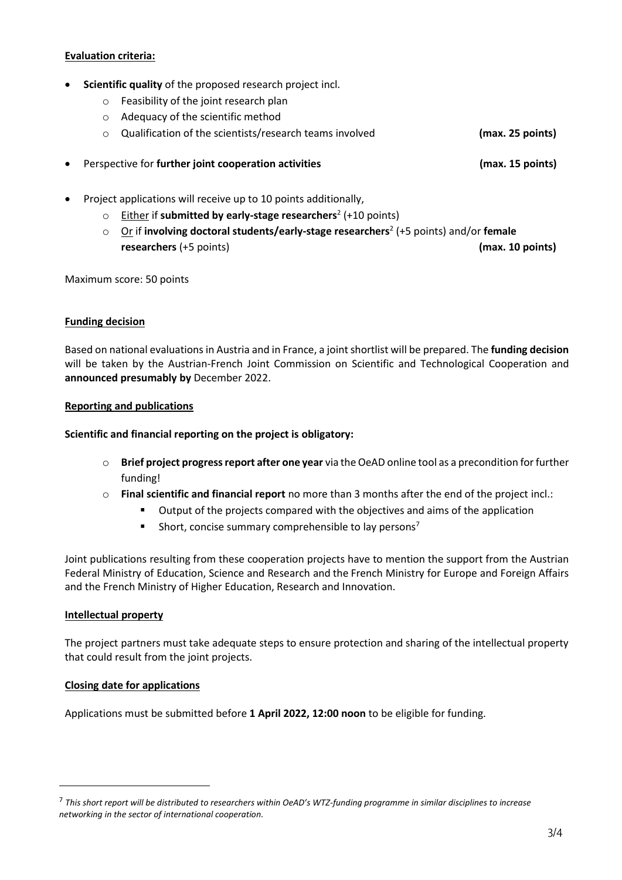## **Evaluation criteria:**

- **Scientific quality** of the proposed research project incl.
	- o Feasibility of the joint research plan
	- o Adequacy of the scientific method
	- o Qualification of the scientists/research teams involved **(max. 25 points)**
- Perspective for **further joint cooperation activities (max. 15 points)**
- Project applications will receive up to 10 points additionally,
	- o Either if **submitted by early-stage researchers**<sup>2</sup> (+10 points)
	- o Or if **involving doctoral students/early-stage researchers**<sup>2</sup> (+5 points) and/or **female researchers** (+5 points) **(max. 10 points)**

Maximum score: 50 points

## **Funding decision**

Based on national evaluations in Austria and in France, a joint shortlist will be prepared. The **funding decision** will be taken by the Austrian-French Joint Commission on Scientific and Technological Cooperation and **announced presumably by** December 2022.

#### **Reporting and publications**

## **Scientific and financial reporting on the project is obligatory:**

- o **Brief project progress report after one year** via the OeAD online tool as a precondition for further funding!
- o **Final scientific and financial report** no more than 3 months after the end of the project incl.:
	- Output of the projects compared with the objectives and aims of the application
	- **EXECUTE:** Short, concise summary comprehensible to lay persons<sup>7</sup>

Joint publications resulting from these cooperation projects have to mention the support from the Austrian Federal Ministry of Education, Science and Research and the French Ministry for Europe and Foreign Affairs and the French Ministry of Higher Education, Research and Innovation.

## **Intellectual property**

The project partners must take adequate steps to ensure protection and sharing of the intellectual property that could result from the joint projects.

## **Closing date for applications**

Applications must be submitted before **1 April 2022, 12:00 noon** to be eligible for funding.

<sup>7</sup> *This short report will be distributed to researchers within OeAD's WTZ-funding programme in similar disciplines to increase networking in the sector of international cooperation.*